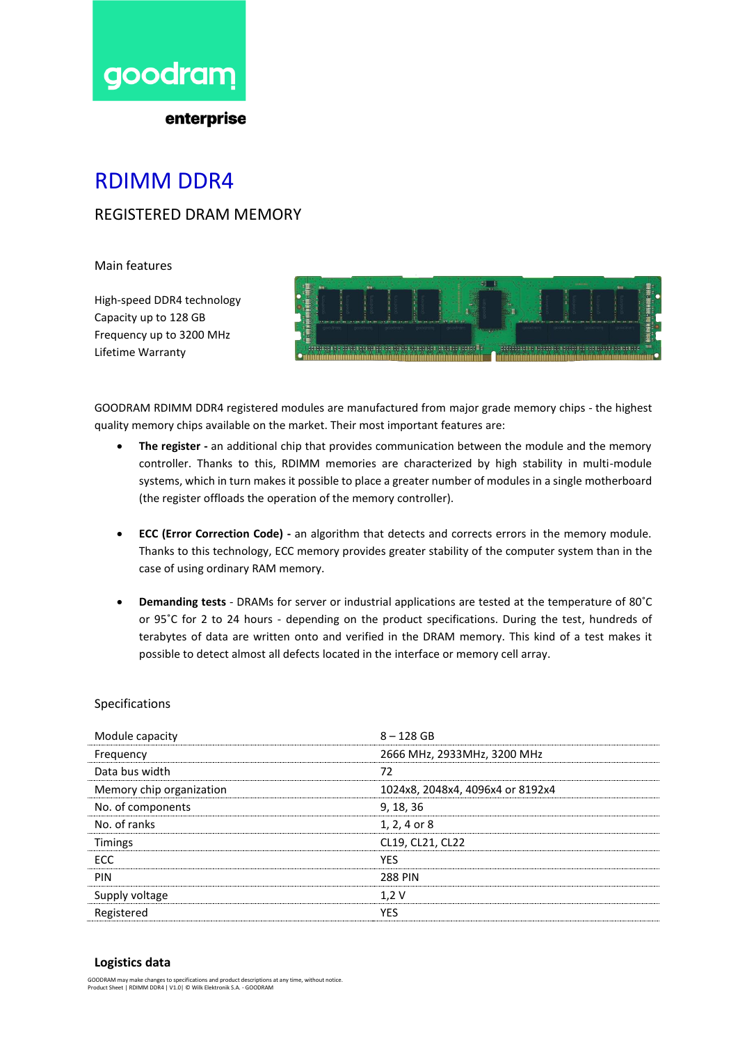

enterprise

## RDIMM DDR4

### REGISTERED DRAM MEMORY

Main features

High-speed DDR4 technology Capacity up to 128 GB Frequency up to 3200 MHz Lifetime Warranty



GOODRAM RDIMM DDR4 registered modules are manufactured from major grade memory chips - the highest quality memory chips available on the market. Their most important features are:

- **The register -** an additional chip that provides communication between the module and the memory controller. Thanks to this, RDIMM memories are characterized by high stability in multi-module systems, which in turn makes it possible to place a greater number of modules in a single motherboard (the register offloads the operation of the memory controller).
- **ECC (Error Correction Code) -** an algorithm that detects and corrects errors in the memory module. Thanks to this technology, ECC memory provides greater stability of the computer system than in the case of using ordinary RAM memory.
- **Demanding tests** DRAMs for server or industrial applications are tested at the temperature of 80˚C or 95˚C for 2 to 24 hours - depending on the product specifications. During the test, hundreds of terabytes of data are written onto and verified in the DRAM memory. This kind of a test makes it possible to detect almost all defects located in the interface or memory cell array.

#### Specifications

| Module capacity          | $8 - 128$ GB                     |
|--------------------------|----------------------------------|
| Frequency                | 2666 MHz, 2933MHz, 3200 MHz      |
| Data bus width           | 72                               |
| Memory chip organization | 1024x8, 2048x4, 4096x4 or 8192x4 |
| No. of components        | 9, 18, 36                        |
| No. of ranks             | 1, 2, 4 or 8                     |
| <b>Timings</b>           | CL19, CL21, CL22                 |
| <b>FCC</b>               | <b>YFS</b>                       |
| PIN                      | <b>288 PIN</b>                   |
| Supply voltage           | 1,2V                             |
| Registered               | YES                              |

#### **Logistics data**

GOODRAM may make changes to specifications and product descriptions at any time, without notice. Product Sheet | RDIMM DDR4 | V1.0| © Wilk Elektronik S.A. - GOODRAM